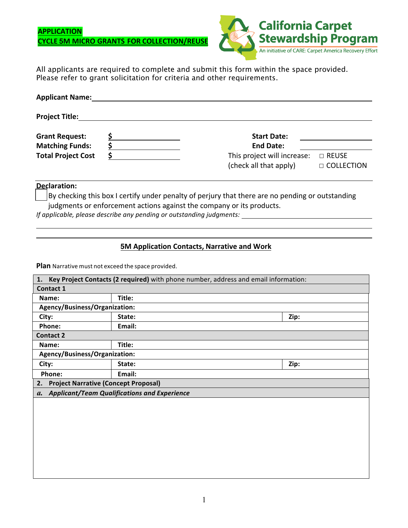## **APPLICATION CYCLE 5M MICRO GRANTS FOR COLLECTION/REUSE**



All applicants are required to complete and submit this form within the space provided. Please refer to grant solicitation for criteria and other requirements.

| <b>Applicant Name:</b>    |  |                             |                   |  |  |  |
|---------------------------|--|-----------------------------|-------------------|--|--|--|
| <b>Project Title:</b>     |  |                             |                   |  |  |  |
| <b>Grant Request:</b>     |  | <b>Start Date:</b>          |                   |  |  |  |
| <b>Matching Funds:</b>    |  | <b>End Date:</b>            |                   |  |  |  |
| <b>Total Project Cost</b> |  | This project will increase: | □ REUSE           |  |  |  |
|                           |  | (check all that apply)      | $\Box$ COLLECTION |  |  |  |

## **Declaration:**

By checking this box I certify under penalty of perjury that there are no pending or outstanding judgments or enforcement actions against the company or its products.

*If applicable, please describe any pending or outstanding judgments:* 

## **5M Application Contacts, Narrative and Work**

**Plan** Narrative must not exceed the space provided. 

| Key Project Contacts (2 required) with phone number, address and email information:<br>1. |        |      |  |  |  |  |
|-------------------------------------------------------------------------------------------|--------|------|--|--|--|--|
| <b>Contact 1</b>                                                                          |        |      |  |  |  |  |
| Name:                                                                                     | Title: |      |  |  |  |  |
| Agency/Business/Organization:                                                             |        |      |  |  |  |  |
| City:                                                                                     | State: | Zip: |  |  |  |  |
| Phone:                                                                                    | Email: |      |  |  |  |  |
| <b>Contact 2</b>                                                                          |        |      |  |  |  |  |
| Name:                                                                                     | Title: |      |  |  |  |  |
| Agency/Business/Organization:                                                             |        |      |  |  |  |  |
| City:                                                                                     | State: | Zip: |  |  |  |  |
| Phone:                                                                                    | Email: |      |  |  |  |  |
| 2. Project Narrative (Concept Proposal)                                                   |        |      |  |  |  |  |
| a. Applicant/Team Qualifications and Experience                                           |        |      |  |  |  |  |
|                                                                                           |        |      |  |  |  |  |
|                                                                                           |        |      |  |  |  |  |
|                                                                                           |        |      |  |  |  |  |
|                                                                                           |        |      |  |  |  |  |
|                                                                                           |        |      |  |  |  |  |
|                                                                                           |        |      |  |  |  |  |
|                                                                                           |        |      |  |  |  |  |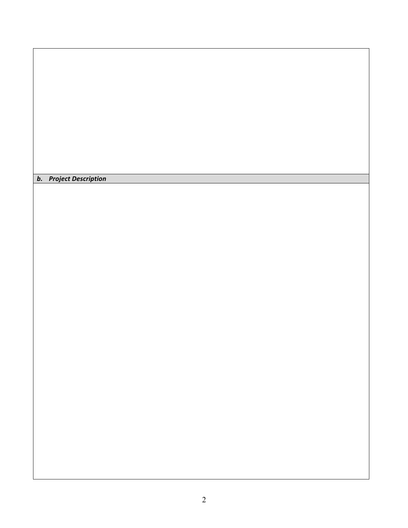*b. Project Description*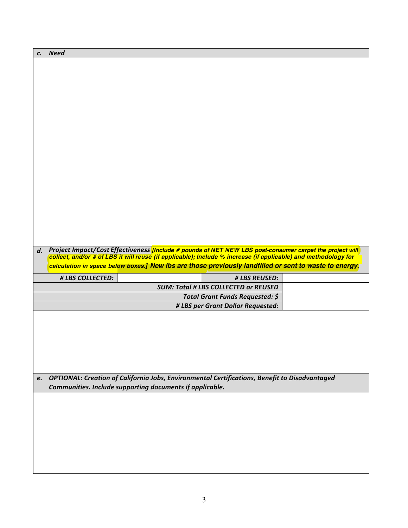| $\mathbf{c}$ . | <b>Need</b>      |                                                                                                                 |  |
|----------------|------------------|-----------------------------------------------------------------------------------------------------------------|--|
|                |                  |                                                                                                                 |  |
|                |                  |                                                                                                                 |  |
|                |                  |                                                                                                                 |  |
|                |                  |                                                                                                                 |  |
|                |                  |                                                                                                                 |  |
|                |                  |                                                                                                                 |  |
|                |                  |                                                                                                                 |  |
|                |                  |                                                                                                                 |  |
|                |                  |                                                                                                                 |  |
|                |                  |                                                                                                                 |  |
|                |                  |                                                                                                                 |  |
|                |                  |                                                                                                                 |  |
|                |                  |                                                                                                                 |  |
|                |                  |                                                                                                                 |  |
|                |                  |                                                                                                                 |  |
|                |                  |                                                                                                                 |  |
|                |                  |                                                                                                                 |  |
|                |                  |                                                                                                                 |  |
| d.             |                  | Project Impact/Cost Effectiveness <i>[Include # pounds of NET NEW LBS post-consumer carpet the project will</i> |  |
|                |                  | collect, and/or # of LBS it will reuse (if applicable); Include % increase (if applicable) and methodology for  |  |
|                |                  |                                                                                                                 |  |
|                |                  | calculation in space below boxes.] New Ibs are those previously landfilled or sent to waste to energy.          |  |
|                | # LBS COLLECTED: | # LBS REUSED:                                                                                                   |  |
|                |                  | <b>SUM: Total # LBS COLLECTED or REUSED</b>                                                                     |  |
|                |                  | Total Grant Funds Requested: \$                                                                                 |  |
|                |                  | # LBS per Grant Dollar Requested:                                                                               |  |
|                |                  |                                                                                                                 |  |
|                |                  |                                                                                                                 |  |
|                |                  |                                                                                                                 |  |
|                |                  |                                                                                                                 |  |
|                |                  |                                                                                                                 |  |
|                |                  |                                                                                                                 |  |
| e.             |                  | OPTIONAL: Creation of California Jobs, Environmental Certifications, Benefit to Disadvantaged                   |  |
|                |                  | Communities. Include supporting documents if applicable.                                                        |  |
|                |                  |                                                                                                                 |  |
|                |                  |                                                                                                                 |  |
|                |                  |                                                                                                                 |  |
|                |                  |                                                                                                                 |  |
|                |                  |                                                                                                                 |  |
|                |                  |                                                                                                                 |  |